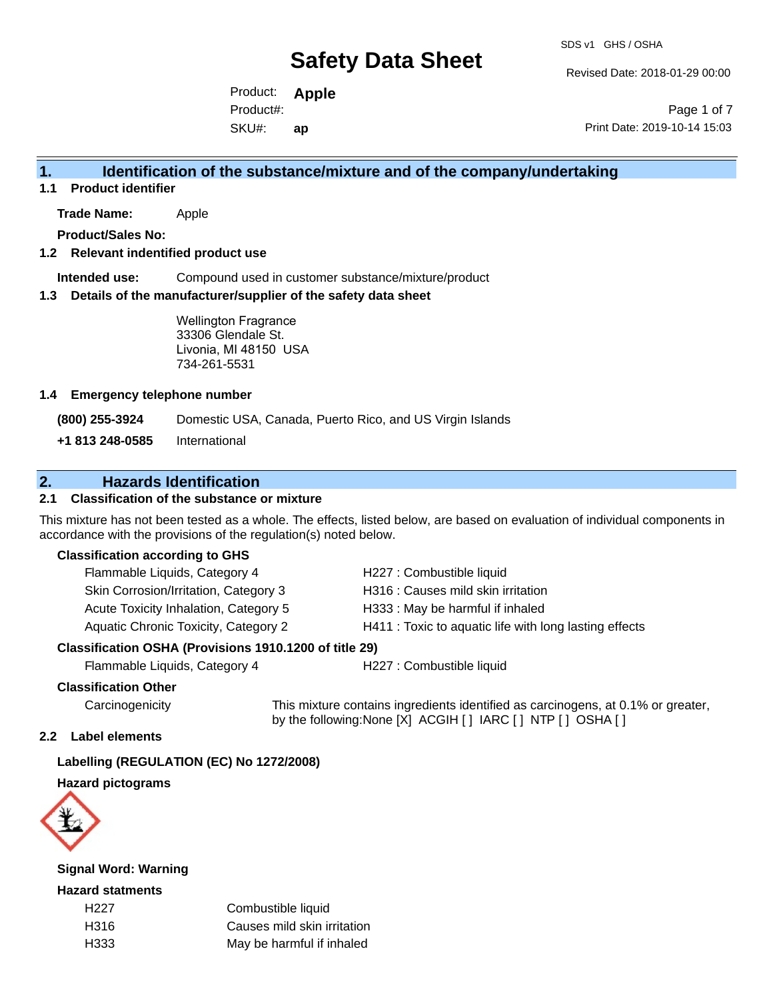Revised Date: 2018-01-29 00:00

Product: **Apple**  SKU#: Product#: **ap**

Page 1 of 7 Print Date: 2019-10-14 15:03

### **1. Identification of the substance/mixture and of the company/undertaking**

**1.1 Product identifier**

**Trade Name:** Apple

**Product/Sales No:**

### **1.2 Relevant indentified product use**

**Intended use:** Compound used in customer substance/mixture/product

### **1.3 Details of the manufacturer/supplier of the safety data sheet**

Wellington Fragrance 33306 Glendale St. Livonia, MI 48150 USA 734-261-5531

### **1.4 Emergency telephone number**

**(800) 255-3924** Domestic USA, Canada, Puerto Rico, and US Virgin Islands

**+1 813 248-0585** International

### **2. Hazards Identification**

### **2.1 Classification of the substance or mixture**

This mixture has not been tested as a whole. The effects, listed below, are based on evaluation of individual components in accordance with the provisions of the regulation(s) noted below.

### **Classification according to GHS**

| Flammable Liquids, Category 4         | H227 : Combustible liquid                              |
|---------------------------------------|--------------------------------------------------------|
| Skin Corrosion/Irritation, Category 3 | H316 : Causes mild skin irritation                     |
| Acute Toxicity Inhalation, Category 5 | H333: May be harmful if inhaled                        |
| Aquatic Chronic Toxicity, Category 2  | H411 : Toxic to aquatic life with long lasting effects |
|                                       |                                                        |

### **Classification OSHA (Provisions 1910.1200 of title 29)**

Flammable Liquids, Category 4 H227 : Combustible liquid

### **Classification Other**

Carcinogenicity This mixture contains ingredients identified as carcinogens, at 0.1% or greater, by the following:None [X] ACGIH [ ] IARC [ ] NTP [ ] OSHA [ ]

### **2.2 Label elements**

### **Labelling (REGULATION (EC) No 1272/2008)**

### **Hazard pictograms**



### **Signal Word: Warning**

### **Hazard statments**

| H <sub>22</sub> 7 | Combustible liquid          |
|-------------------|-----------------------------|
| H316              | Causes mild skin irritation |
| H333              | May be harmful if inhaled   |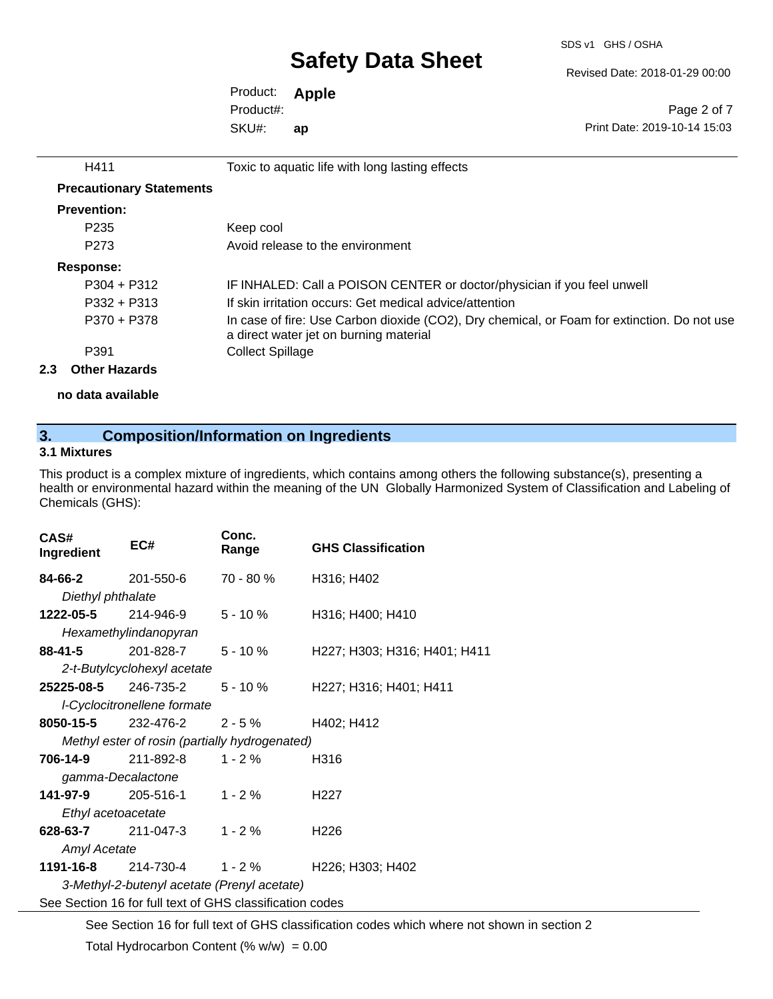Revised Date: 2018-01-29 00:00

Product: **Apple**  SKU#: Product#: **ap**

H411 Toxic to aquatic life with long lasting effects

Page 2 of 7 Print Date: 2019-10-14 15:03

| <b>Precautionary Statements</b> |                                                                                                                                       |
|---------------------------------|---------------------------------------------------------------------------------------------------------------------------------------|
| <b>Prevention:</b>              |                                                                                                                                       |
| P <sub>235</sub>                | Keep cool                                                                                                                             |
| P273                            | Avoid release to the environment                                                                                                      |
| Response:                       |                                                                                                                                       |
| $P304 + P312$                   | IF INHALED: Call a POISON CENTER or doctor/physician if you feel unwell                                                               |
| $P332 + P313$                   | If skin irritation occurs: Get medical advice/attention                                                                               |
| P370 + P378                     | In case of fire: Use Carbon dioxide (CO2), Dry chemical, or Foam for extinction. Do not use<br>a direct water jet on burning material |
| P391                            | <b>Collect Spillage</b>                                                                                                               |

### **2.3 Other Hazards**

**no data available**

### **3. Composition/Information on Ingredients**

### **3.1 Mixtures**

This product is a complex mixture of ingredients, which contains among others the following substance(s), presenting a health or environmental hazard within the meaning of the UN Globally Harmonized System of Classification and Labeling of Chemicals (GHS):

| CAS#<br>Ingredient                                       | EC#                                            | Conc.<br>Range | <b>GHS Classification</b>    |
|----------------------------------------------------------|------------------------------------------------|----------------|------------------------------|
| 84-66-2                                                  | 201-550-6                                      | $70 - 80 \%$   | H316; H402                   |
| Diethyl phthalate                                        |                                                |                |                              |
| 1222-05-5                                                | 214-946-9                                      | $5 - 10 \%$    | H316; H400; H410             |
|                                                          | Hexamethylindanopyran                          |                |                              |
| 88-41-5 201-828-7                                        |                                                | $5 - 10 \%$    | H227; H303; H316; H401; H411 |
|                                                          | 2-t-Butylcyclohexyl acetate                    |                |                              |
| 25225-08-5                                               | 246-735-2                                      | $5 - 10 \%$    | H227; H316; H401; H411       |
|                                                          | I-Cyclocitronellene formate                    |                |                              |
|                                                          | <b>8050-15-5</b> 232-476-2                     | $2 - 5\%$      | H402; H412                   |
|                                                          | Methyl ester of rosin (partially hydrogenated) |                |                              |
| 706-14-9                                                 | 211-892-8                                      | $1 - 2\%$      | H316                         |
| gamma-Decalactone                                        |                                                |                |                              |
|                                                          | <b>141-97-9</b> 205-516-1                      | $1 - 2 \%$     | H <sub>22</sub> 7            |
| Ethyl acetoacetate                                       |                                                |                |                              |
|                                                          | <b>628-63-7</b> 211-047-3                      | $1 - 2 \%$     | H <sub>226</sub>             |
| <b>Amyl Acetate</b>                                      |                                                |                |                              |
|                                                          | <b>1191-16-8</b> 214-730-4  1 - 2 %            |                | H226; H303; H402             |
| 3-Methyl-2-butenyl acetate (Prenyl acetate)              |                                                |                |                              |
| See Section 16 for full text of GHS classification codes |                                                |                |                              |

See Section 16 for full text of GHS classification codes which where not shown in section 2

Total Hydrocarbon Content (%  $w/w$ ) = 0.00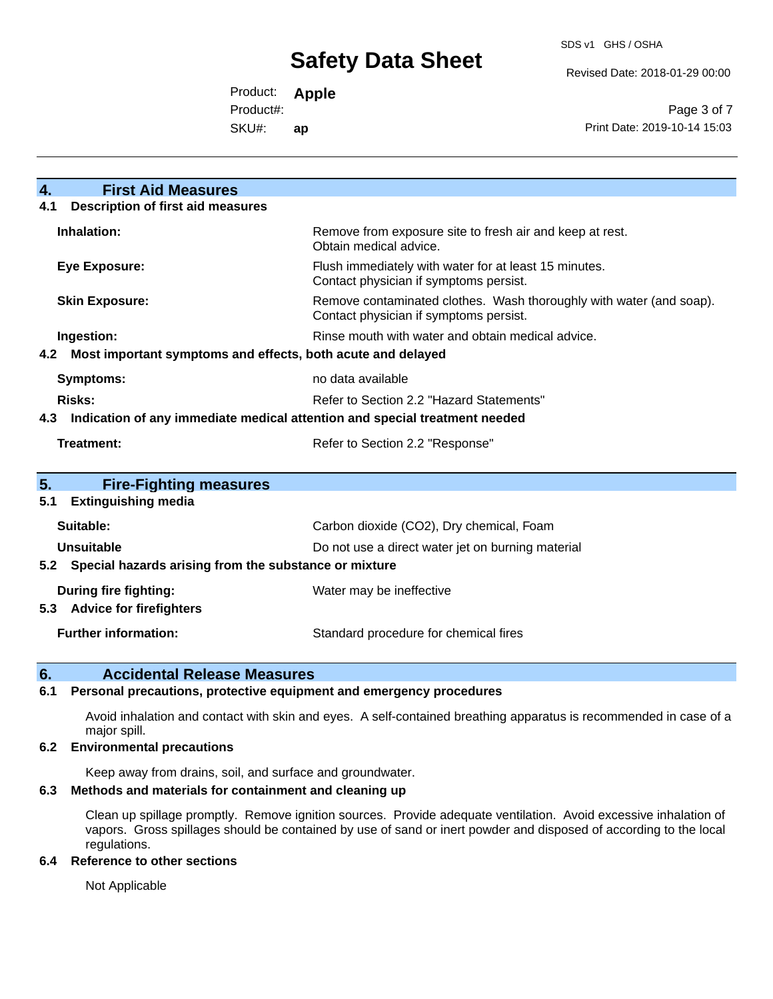Revised Date: 2018-01-29 00:00

Product: **Apple**  Product#:

SKU#: **ap**

Page 3 of 7 Print Date: 2019-10-14 15:03

| <b>First Aid Measures</b><br>$\overline{4}$ .                                     |                                                                                                               |  |
|-----------------------------------------------------------------------------------|---------------------------------------------------------------------------------------------------------------|--|
| <b>Description of first aid measures</b><br>4.1                                   |                                                                                                               |  |
| Inhalation:                                                                       | Remove from exposure site to fresh air and keep at rest.<br>Obtain medical advice.                            |  |
| <b>Eye Exposure:</b>                                                              | Flush immediately with water for at least 15 minutes.<br>Contact physician if symptoms persist.               |  |
| <b>Skin Exposure:</b>                                                             | Remove contaminated clothes. Wash thoroughly with water (and soap).<br>Contact physician if symptoms persist. |  |
| Ingestion:                                                                        | Rinse mouth with water and obtain medical advice.                                                             |  |
| 4.2 Most important symptoms and effects, both acute and delayed                   |                                                                                                               |  |
| <b>Symptoms:</b>                                                                  | no data available                                                                                             |  |
| Risks:                                                                            | Refer to Section 2.2 "Hazard Statements"                                                                      |  |
| Indication of any immediate medical attention and special treatment needed<br>4.3 |                                                                                                               |  |
| Treatment:<br>Refer to Section 2.2 "Response"                                     |                                                                                                               |  |
|                                                                                   |                                                                                                               |  |
| 5.<br><b>Fire-Fighting measures</b>                                               |                                                                                                               |  |
| <b>Extinguishing media</b><br>5.1                                                 |                                                                                                               |  |
| Suitable:                                                                         | Carbon dioxide (CO2), Dry chemical, Foam                                                                      |  |
| Unsuitable                                                                        | Do not use a direct water jet on burning material                                                             |  |
| 5.2 Special hazards arising from the substance or mixture                         |                                                                                                               |  |
| During fire fighting:<br><b>Advice for firefighters</b><br>5.3                    | Water may be ineffective                                                                                      |  |
| <b>Further information:</b>                                                       | Standard procedure for chemical fires                                                                         |  |

### **6. Accidental Release Measures**

### **6.1 Personal precautions, protective equipment and emergency procedures**

Avoid inhalation and contact with skin and eyes. A self-contained breathing apparatus is recommended in case of a major spill.

### **6.2 Environmental precautions**

Keep away from drains, soil, and surface and groundwater.

### **6.3 Methods and materials for containment and cleaning up**

Clean up spillage promptly. Remove ignition sources. Provide adequate ventilation. Avoid excessive inhalation of vapors. Gross spillages should be contained by use of sand or inert powder and disposed of according to the local regulations.

### **6.4 Reference to other sections**

Not Applicable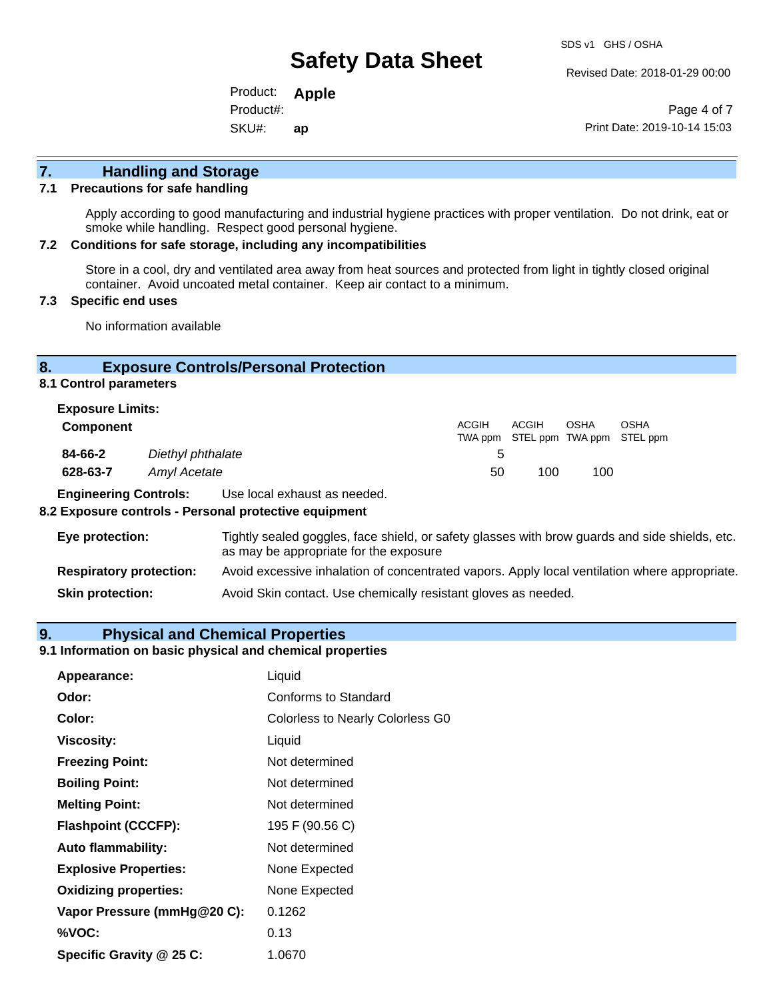Revised Date: 2018-01-29 00:00

Product: **Apple**  SKU#: Product#: **ap**

Page 4 of 7 Print Date: 2019-10-14 15:03

## **7. Handling and Storage**

### **7.1 Precautions for safe handling**

Apply according to good manufacturing and industrial hygiene practices with proper ventilation. Do not drink, eat or smoke while handling. Respect good personal hygiene.

#### **7.2 Conditions for safe storage, including any incompatibilities**

Store in a cool, dry and ventilated area away from heat sources and protected from light in tightly closed original container. Avoid uncoated metal container. Keep air contact to a minimum.

### **7.3 Specific end uses**

No information available

### **8. Exposure Controls/Personal Protection**

**8.1 Control parameters**

| <b>Exposure Limits:</b> |                   |       |                                            |      |      |
|-------------------------|-------------------|-------|--------------------------------------------|------|------|
| <b>Component</b>        |                   | ACGIH | ACGIH<br>TWA ppm STEL ppm TWA ppm STEL ppm | OSHA | OSHA |
| 84-66-2                 | Diethyl phthalate | 5.    |                                            |      |      |
| 628-63-7                | Amyl Acetate      | 50    | 100                                        | 100  |      |

**Engineering Controls:** Use local exhaust as needed.

### **8.2 Exposure controls - Personal protective equipment**

| Eye protection:                | Tightly sealed goggles, face shield, or safety glasses with brow guards and side shields, etc.<br>as may be appropriate for the exposure |
|--------------------------------|------------------------------------------------------------------------------------------------------------------------------------------|
| <b>Respiratory protection:</b> | Avoid excessive inhalation of concentrated vapors. Apply local ventilation where appropriate.                                            |
| <b>Skin protection:</b>        | Avoid Skin contact. Use chemically resistant gloves as needed.                                                                           |

### **9. Physical and Chemical Properties**

#### **9.1 Information on basic physical and chemical properties**

| Appearance:                  | Liquid                                  |
|------------------------------|-----------------------------------------|
| Odor:                        | Conforms to Standard                    |
| Color:                       | <b>Colorless to Nearly Colorless G0</b> |
| <b>Viscosity:</b>            | Liquid                                  |
| <b>Freezing Point:</b>       | Not determined                          |
| <b>Boiling Point:</b>        | Not determined                          |
| <b>Melting Point:</b>        | Not determined                          |
| <b>Flashpoint (CCCFP):</b>   | 195 F (90.56 C)                         |
| <b>Auto flammability:</b>    | Not determined                          |
| <b>Explosive Properties:</b> | None Expected                           |
| <b>Oxidizing properties:</b> | None Expected                           |
| Vapor Pressure (mmHg@20 C):  | 0.1262                                  |
| %VOC:                        | 0.13                                    |
| Specific Gravity @ 25 C:     | 1.0670                                  |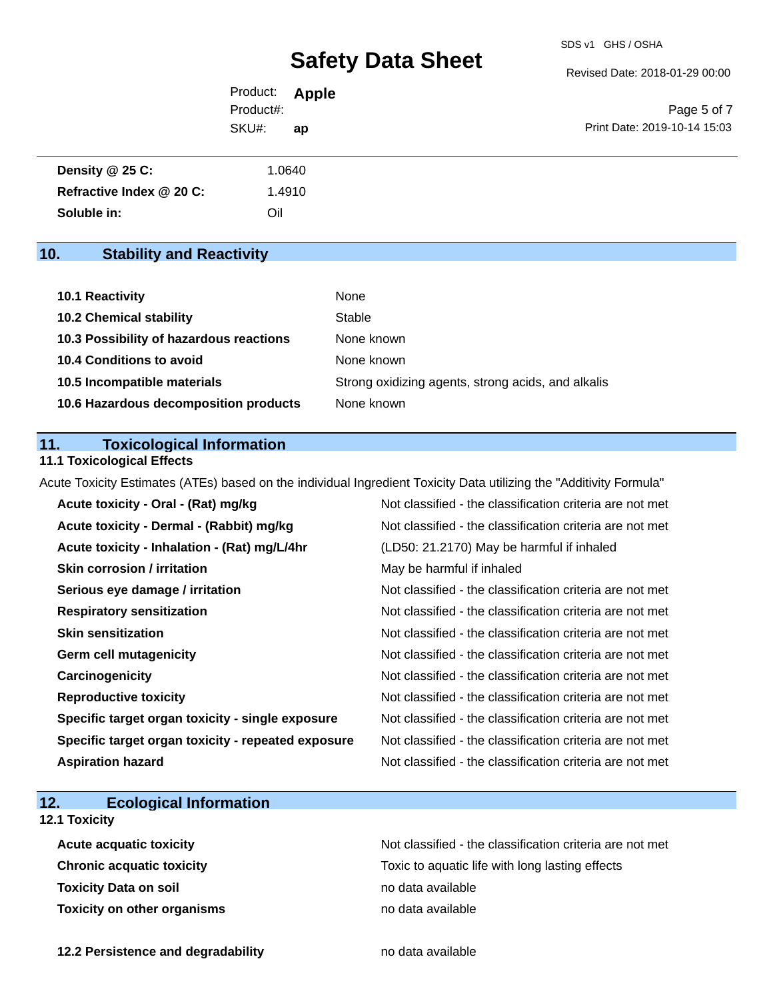Revised Date: 2018-01-29 00:00

| Product:  | <b>Apple</b> |
|-----------|--------------|
| Product#: |              |
| SKU#:     | ap           |

Page 5 of 7 Print Date: 2019-10-14 15:03

| Density @ 25 C:          | .0640 |
|--------------------------|-------|
| Refractive Index @ 20 C: | .4910 |
| Soluble in:              | Oil   |

## **10. Stability and Reactivity**

| 10.1 Reactivity                         | None                                               |
|-----------------------------------------|----------------------------------------------------|
| <b>10.2 Chemical stability</b>          | Stable                                             |
| 10.3 Possibility of hazardous reactions | None known                                         |
| <b>10.4 Conditions to avoid</b>         | None known                                         |
| 10.5 Incompatible materials             | Strong oxidizing agents, strong acids, and alkalis |
| 10.6 Hazardous decomposition products   | None known                                         |

### **11. Toxicological Information**

### **11.1 Toxicological Effects**

Acute Toxicity Estimates (ATEs) based on the individual Ingredient Toxicity Data utilizing the "Additivity Formula"

| Acute toxicity - Oral - (Rat) mg/kg                | Not classified - the classification criteria are not met |
|----------------------------------------------------|----------------------------------------------------------|
| Acute toxicity - Dermal - (Rabbit) mg/kg           | Not classified - the classification criteria are not met |
| Acute toxicity - Inhalation - (Rat) mg/L/4hr       | (LD50: 21.2170) May be harmful if inhaled                |
| <b>Skin corrosion / irritation</b>                 | May be harmful if inhaled                                |
| Serious eye damage / irritation                    | Not classified - the classification criteria are not met |
| <b>Respiratory sensitization</b>                   | Not classified - the classification criteria are not met |
| <b>Skin sensitization</b>                          | Not classified - the classification criteria are not met |
| Germ cell mutagenicity                             | Not classified - the classification criteria are not met |
| Carcinogenicity                                    | Not classified - the classification criteria are not met |
| <b>Reproductive toxicity</b>                       | Not classified - the classification criteria are not met |
| Specific target organ toxicity - single exposure   | Not classified - the classification criteria are not met |
| Specific target organ toxicity - repeated exposure | Not classified - the classification criteria are not met |
| <b>Aspiration hazard</b>                           | Not classified - the classification criteria are not met |

## **12. Ecological Information**

### **12.1 Toxicity**

| <b>Acute acquatic toxicity</b>     | Not classified - the classification criteria are not met |
|------------------------------------|----------------------------------------------------------|
| <b>Chronic acquatic toxicity</b>   | Toxic to aquatic life with long lasting effects          |
| <b>Toxicity Data on soil</b>       | no data available                                        |
| <b>Toxicity on other organisms</b> | no data available                                        |

**12.2 Persistence and degradability no data available**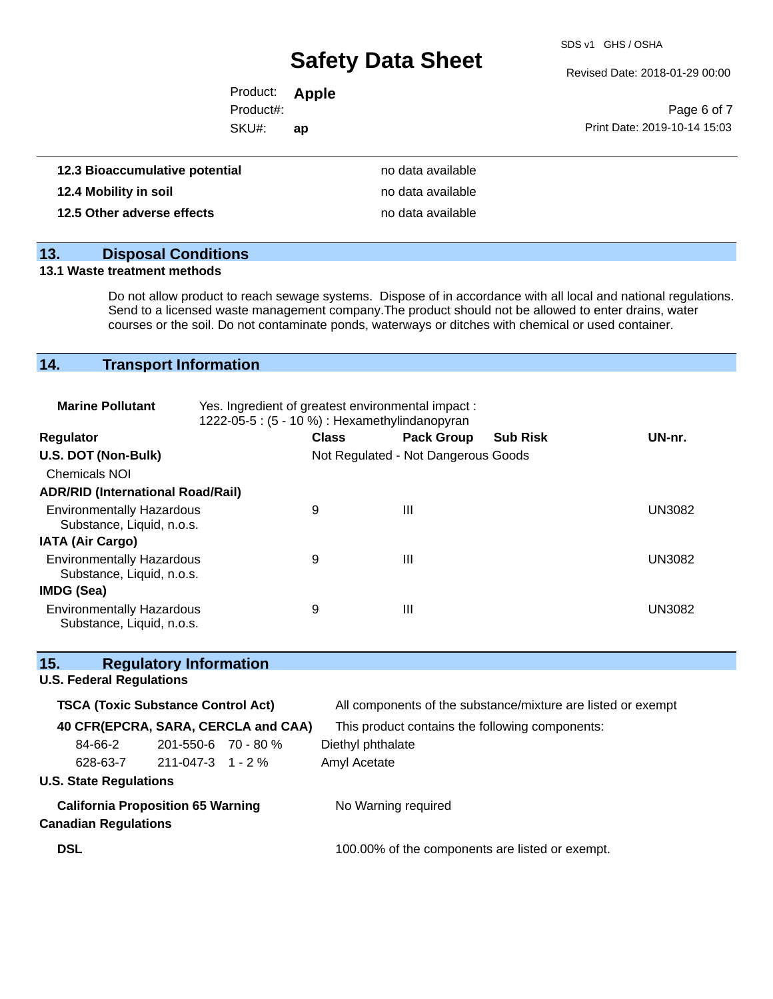SDS v1 GHS / OSHA

Revised Date: 2018-01-29 00:00

| Product: <b>Apple</b> |    |                              |
|-----------------------|----|------------------------------|
| Product#:             |    | Page 6 of 7                  |
| SKU#:                 | ap | Print Date: 2019-10-14 15:03 |
|                       |    |                              |

| 12.3 Bioaccumulative potential | no data available |
|--------------------------------|-------------------|
| 12.4 Mobility in soil          | no data available |
| 12.5 Other adverse effects     | no data available |

## **13. Disposal Conditions**

### **13.1 Waste treatment methods**

Do not allow product to reach sewage systems. Dispose of in accordance with all local and national regulations. Send to a licensed waste management company.The product should not be allowed to enter drains, water courses or the soil. Do not contaminate ponds, waterways or ditches with chemical or used container.

## **14. Transport Information**

| <b>Marine Pollutant</b>                                       | Yes. Ingredient of greatest environmental impact:<br>1222-05-5 : (5 - 10 %) : Hexamethylindanopyran |              |                                     |                 |               |
|---------------------------------------------------------------|-----------------------------------------------------------------------------------------------------|--------------|-------------------------------------|-----------------|---------------|
| <b>Regulator</b>                                              |                                                                                                     | <b>Class</b> | <b>Pack Group</b>                   | <b>Sub Risk</b> | UN-nr.        |
| U.S. DOT (Non-Bulk)                                           |                                                                                                     |              | Not Regulated - Not Dangerous Goods |                 |               |
| <b>Chemicals NOI</b>                                          |                                                                                                     |              |                                     |                 |               |
| <b>ADR/RID (International Road/Rail)</b>                      |                                                                                                     |              |                                     |                 |               |
| <b>Environmentally Hazardous</b><br>Substance, Liquid, n.o.s. |                                                                                                     | 9            | Ш                                   |                 | <b>UN3082</b> |
| <b>IATA (Air Cargo)</b>                                       |                                                                                                     |              |                                     |                 |               |
| <b>Environmentally Hazardous</b><br>Substance, Liquid, n.o.s. |                                                                                                     | 9            | Ш                                   |                 | <b>UN3082</b> |
| IMDG (Sea)                                                    |                                                                                                     |              |                                     |                 |               |
| <b>Environmentally Hazardous</b><br>Substance, Liquid, n.o.s. |                                                                                                     | 9            | $\mathbf{III}$                      |                 | <b>UN3082</b> |

| 15.                                       |                                 | <b>Regulatory Information</b>            |                                                              |                                                 |
|-------------------------------------------|---------------------------------|------------------------------------------|--------------------------------------------------------------|-------------------------------------------------|
|                                           | <b>U.S. Federal Regulations</b> |                                          |                                                              |                                                 |
| <b>TSCA (Toxic Substance Control Act)</b> |                                 |                                          | All components of the substance/mixture are listed or exempt |                                                 |
|                                           |                                 |                                          | 40 CFR(EPCRA, SARA, CERCLA and CAA)                          | This product contains the following components: |
|                                           | 84-66-2                         | $201 - 550 - 6$ 70 - 80 %                |                                                              | Diethyl phthalate                               |
|                                           |                                 | $628-63-7$ 211-047-3 1 - 2 %             |                                                              | Amyl Acetate                                    |
|                                           | <b>U.S. State Regulations</b>   |                                          |                                                              |                                                 |
|                                           | <b>Canadian Regulations</b>     | <b>California Proposition 65 Warning</b> |                                                              | No Warning required                             |
| <b>DSL</b>                                |                                 |                                          |                                                              | 100.00% of the components are listed or exempt. |